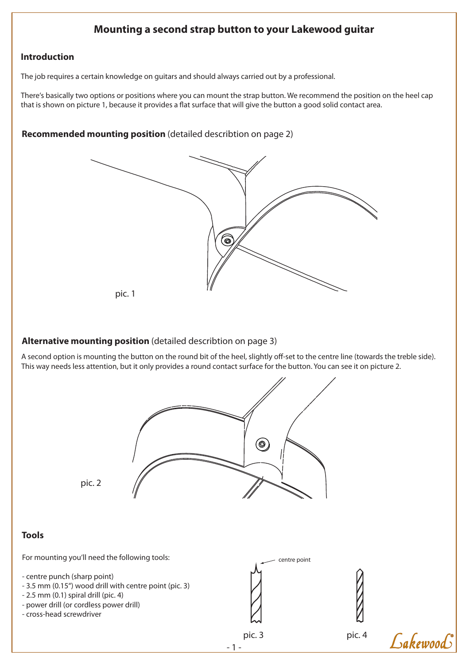# **Mounting a second strap button to your Lakewood guitar**

## **Introduction**

The job requires a certain knowledge on guitars and should always carried out by a professional.

There's basically two options or positions where you can mount the strap button. We recommend the position on the heel cap that is shown on picture 1, because it provides a flat surface that will give the button a good solid contact area.

## **Recommended mounting position** (detailed describtion on page 2)



## **Alternative mounting position** (detailed describtion on page 3)

A second option is mounting the button on the round bit of the heel, slightly off-set to the centre line (towards the treble side). This way needs less attention, but it only provides a round contact surface for the button. You can see it on picture 2.

pic. 2

## **Tools**

For mounting you'll need the following tools:

- centre punch (sharp point)
- 3.5 mm (0.15") wood drill with centre point (pic. 3)
- 2.5 mm (0.1) spiral drill (pic. 4)
- power drill (or cordless power drill)
- cross-head screwdriver



 $(\circledS)$ 



pic. 4

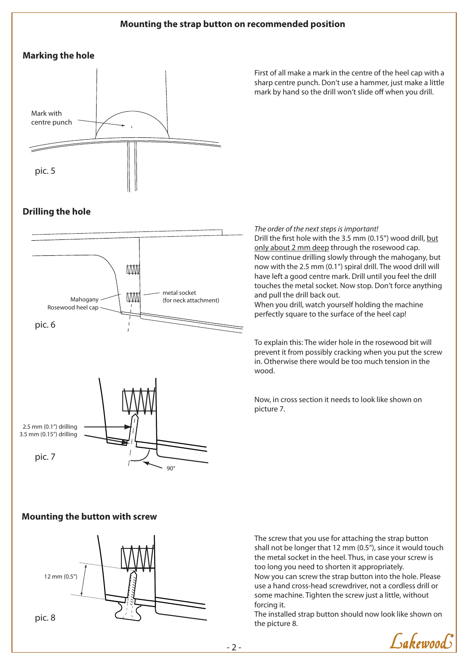### **Mounting the strap button on recommended position**

### **Marking the hole**



First of all make a mark in the centre of the heel cap with a sharp centre punch. Don't use a hammer, just make a little mark by hand so the drill won't slide off when you drill.

## **Drilling the hole**



#### *The order of the next steps is important!*

Drill the first hole with the 3.5 mm (0.15") wood drill, but only about 2 mm deep through the rosewood cap. Now continue drilling slowly through the mahogany, but now with the 2.5 mm (0.1") spiral drill. The wood drill will have left a good centre mark. Drill until you feel the drill touches the metal socket. Now stop. Don't force anything and pull the drill back out.

When you drill, watch yourself holding the machine perfectly square to the surface of the heel cap!

To explain this: The wider hole in the rosewood bit will prevent it from possibly cracking when you put the screw in. Otherwise there would be too much tension in the wood.

Now, in cross section it needs to look like shown on picture 7.

#### **Mounting the button with screw**



The screw that you use for attaching the strap button shall not be longer that 12 mm (0.5"), since it would touch the metal socket in the heel. Thus, in case your screw is too long you need to shorten it appropriately. Now you can screw the strap button into the hole. Please use a hand cross-head screwdriver, not a cordless drill or some machine. Tighten the screw just a little, without forcing it.

The installed strap button should now look like shown on the picture 8.